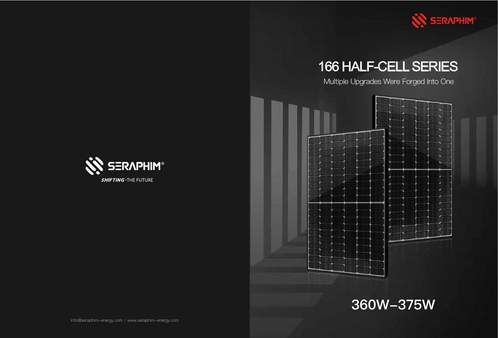

**SHIFTING . THE FUTURE** 



Multiple Upgrades Were Forged Into One





# 166 HALF-CELL SERIES



360W-375W